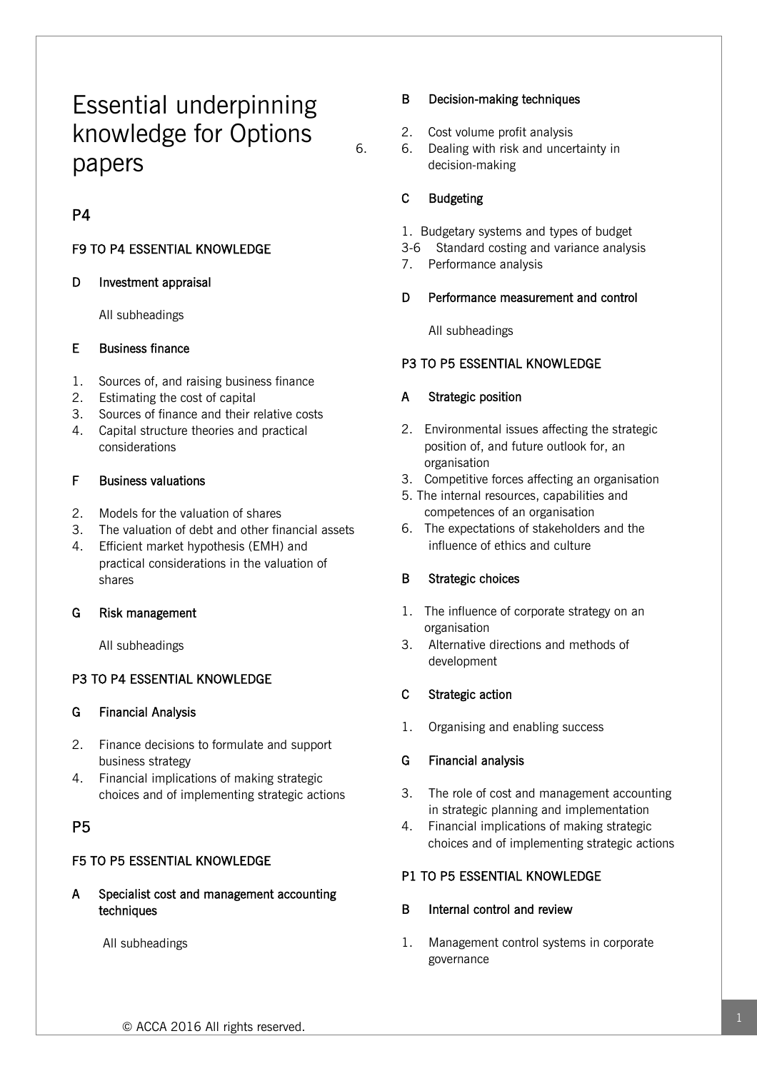# Essential underpinning knowledge for Options papers

# P4

# F9 TO P4 ESSENTIAL KNOWLEDGE

## D Investment appraisal

All subheadings

## E Business finance

- 1. Sources of, and raising business finance
- 2. Estimating the cost of capital
- 3. Sources of finance and their relative costs
- 4. Capital structure theories and practical considerations

# F Business valuations

- 2. Models for the valuation of shares
- 3. The valuation of debt and other financial assets
- 4. Efficient market hypothesis (EMH) and practical considerations in the valuation of shares

# G Risk management

All subheadings

# P3 TO P4 ESSENTIAL KNOWLEDGE

# G Financial Analysis

- 2. Finance decisions to formulate and support business strategy
- 4. Financial implications of making strategic choices and of implementing strategic actions

# P5

# F5 TO P5 ESSENTIAL KNOWLEDGE

A Specialist cost and management accounting techniques

All subheadings

## B Decision-making techniques

- 2. Cost volume profit analysis
- 6. 6. Dealing with risk and uncertainty in decision-making

# C Budgeting

- 1. Budgetary systems and types of budget
- 3-6 Standard costing and variance analysis
- 7. Performance analysis

# D Performance measurement and control

All subheadings

# P3 TO P5 ESSENTIAL KNOWLEDGE

# A Strategic position

- 2. Environmental issues affecting the strategic position of, and future outlook for, an organisation
- 3. Competitive forces affecting an organisation
- 5. The internal resources, capabilities and competences of an organisation
- 6. The expectations of stakeholders and the influence of ethics and culture

# B Strategic choices

- 1. The influence of corporate strategy on an organisation
- 3. Alternative directions and methods of development

# C Strategic action

1. Organising and enabling success

# G Financial analysis

- 3. The role of cost and management accounting in strategic planning and implementation
- 4. Financial implications of making strategic choices and of implementing strategic actions

# P1 TO P5 ESSENTIAL KNOWLEDGE

# B Internal control and review

1. Management control systems in corporate governance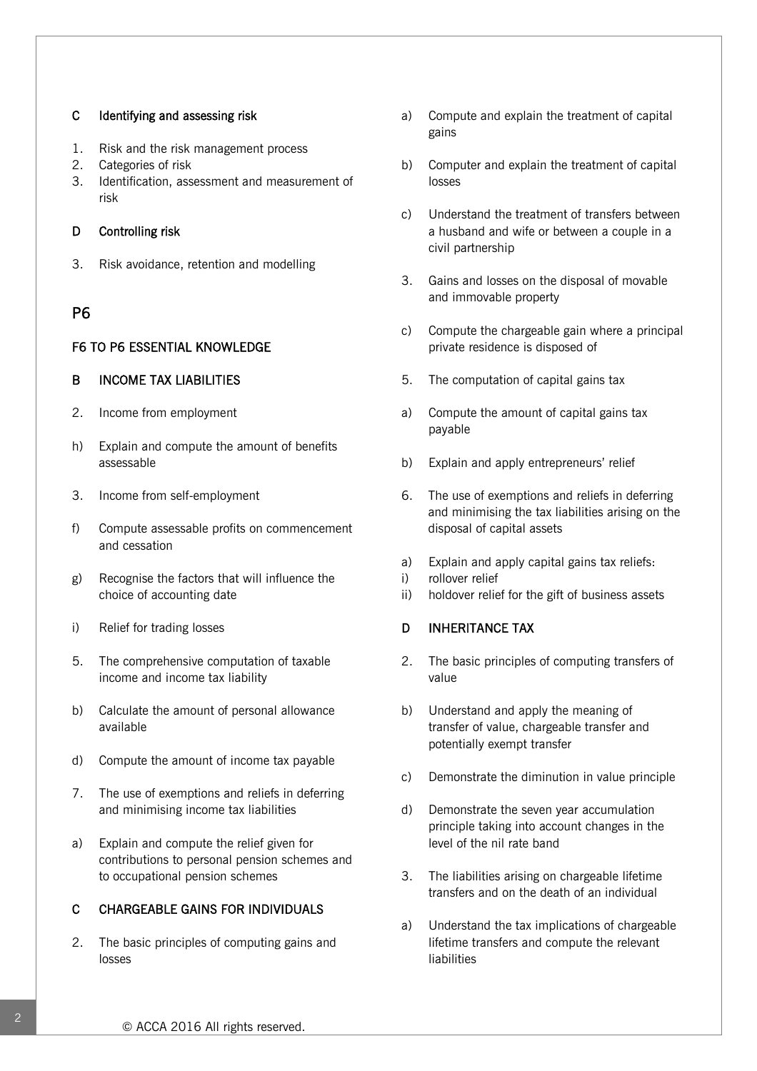#### C Identifying and assessing risk

- 1. Risk and the risk management process
- 2. Categories of risk
- 3. Identification, assessment and measurement of risk

#### D Controlling risk

3. Risk avoidance, retention and modelling

# P6

#### F6 TO P6 ESSENTIAL KNOWLEDGE

#### B INCOME TAX LIABILITIES

- 2. Income from employment
- h) Explain and compute the amount of benefits assessable
- 3. Income from self-employment
- f) Compute assessable profits on commencement and cessation
- g) Recognise the factors that will influence the choice of accounting date
- i) Relief for trading losses
- 5. The comprehensive computation of taxable income and income tax liability
- b) Calculate the amount of personal allowance available
- d) Compute the amount of income tax payable
- 7. The use of exemptions and reliefs in deferring and minimising income tax liabilities
- a) Explain and compute the relief given for contributions to personal pension schemes and to occupational pension schemes

#### C CHARGEABLE GAINS FOR INDIVIDUALS

2. The basic principles of computing gains and losses

- a) Compute and explain the treatment of capital gains
- b) Computer and explain the treatment of capital losses
- c) Understand the treatment of transfers between a husband and wife or between a couple in a civil partnership
- 3. Gains and losses on the disposal of movable and immovable property
- c) Compute the chargeable gain where a principal private residence is disposed of
- 5. The computation of capital gains tax
- a) Compute the amount of capital gains tax payable
- b) Explain and apply entrepreneurs' relief
- 6. The use of exemptions and reliefs in deferring and minimising the tax liabilities arising on the disposal of capital assets
- a) Explain and apply capital gains tax reliefs:
- i) rollover relief
- ii) holdover relief for the gift of business assets

#### D INHERITANCE TAX

- 2. The basic principles of computing transfers of value
- b) Understand and apply the meaning of transfer of value, chargeable transfer and potentially exempt transfer
- c) Demonstrate the diminution in value principle
- d) Demonstrate the seven year accumulation principle taking into account changes in the level of the nil rate band
- 3. The liabilities arising on chargeable lifetime transfers and on the death of an individual
- a) Understand the tax implications of chargeable lifetime transfers and compute the relevant liabilities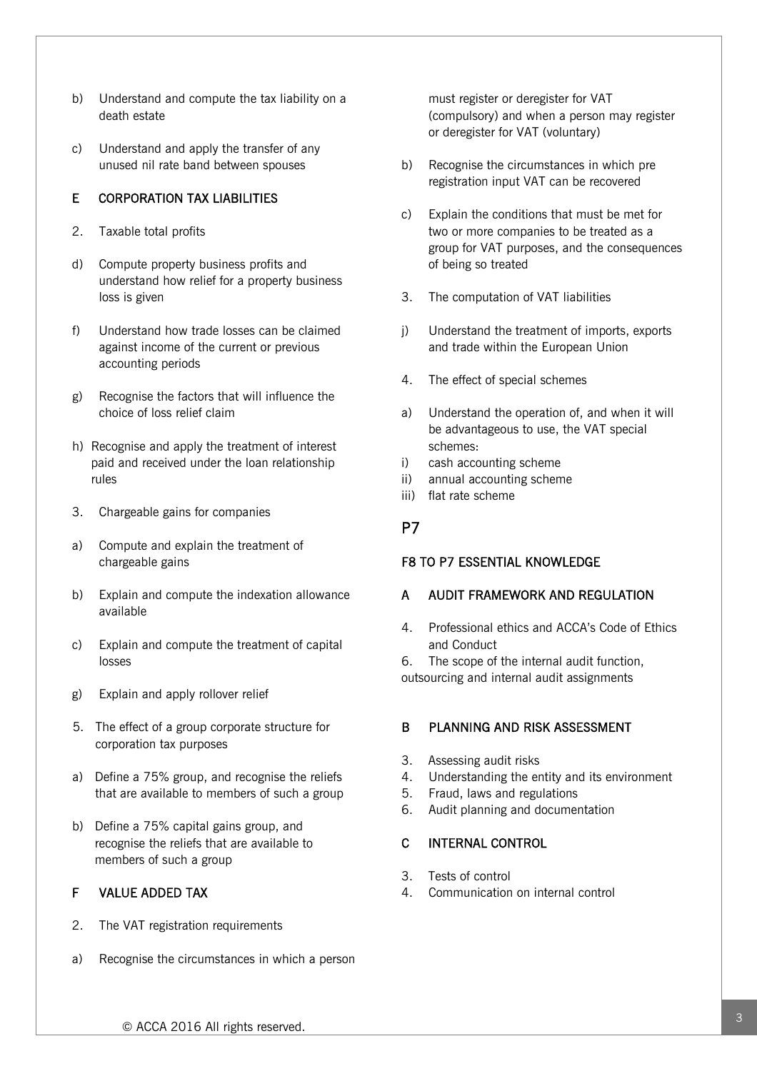- b) Understand and compute the tax liability on a death estate
- c) Understand and apply the transfer of any unused nil rate band between spouses

# E CORPORATION TAX LIABILITIES

- 2. Taxable total profits
- d) Compute property business profits and understand how relief for a property business loss is given
- f) Understand how trade losses can be claimed against income of the current or previous accounting periods
- g) Recognise the factors that will influence the choice of loss relief claim
- h) Recognise and apply the treatment of interest paid and received under the loan relationship rules
- 3. Chargeable gains for companies
- a) Compute and explain the treatment of chargeable gains
- b) Explain and compute the indexation allowance available
- c) Explain and compute the treatment of capital losses
- g) Explain and apply rollover relief
- 5. The effect of a group corporate structure for corporation tax purposes
- a) Define a 75% group, and recognise the reliefs that are available to members of such a group
- b) Define a 75% capital gains group, and recognise the reliefs that are available to members of such a group

# F VALUE ADDED TAX

- 2. The VAT registration requirements
- a) Recognise the circumstances in which a person

must register or deregister for VAT (compulsory) and when a person may register or deregister for VAT (voluntary)

- b) Recognise the circumstances in which pre registration input VAT can be recovered
- c) Explain the conditions that must be met for two or more companies to be treated as a group for VAT purposes, and the consequences of being so treated
- 3. The computation of VAT liabilities
- j) Understand the treatment of imports, exports and trade within the European Union
- 4. The effect of special schemes
- a) Understand the operation of, and when it will be advantageous to use, the VAT special schemes:
- i) cash accounting scheme
- ii) annual accounting scheme
- iii) flat rate scheme

# P7

# F8 TO P7 ESSENTIAL KNOWLEDGE

# A AUDIT FRAMEWORK AND REGULATION

4. Professional ethics and ACCA's Code of Ethics and Conduct

6. The scope of the internal audit function, outsourcing and internal audit assignments

# B PLANNING AND RISK ASSESSMENT

- 3. Assessing audit risks
- 4. Understanding the entity and its environment
- 5. Fraud, laws and regulations
- 6. Audit planning and documentation

# C INTERNAL CONTROL

- 3. Tests of control
- 4. Communication on internal control